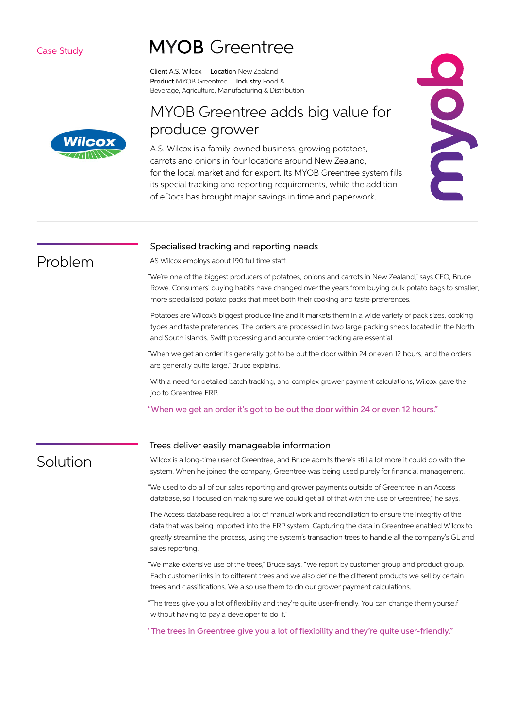### Case Study

# **MYOB** Greentree

Client A.S. Wilcox | Location New Zealand Product MYOB Greentree | Industry Food & Beverage, Agriculture, Manufacturing & Distribution

# MYOB Greentree adds big value for produce grower

A.S. Wilcox is a family-owned business, growing potatoes, carrots and onions in four locations around New Zealand, for the local market and for export. Its MYOB Greentree system fills its special tracking and reporting requirements, while the addition of eDocs has brought major savings in time and paperwork.



### Specialised tracking and reporting needs

AS Wilcox employs about 190 full time staff.

"We're one of the biggest producers of potatoes, onions and carrots in New Zealand," says CFO, Bruce Rowe. Consumers' buying habits have changed over the years from buying bulk potato bags to smaller, more specialised potato packs that meet both their cooking and taste preferences.

Potatoes are Wilcox's biggest produce line and it markets them in a wide variety of pack sizes, cooking types and taste preferences. The orders are processed in two large packing sheds located in the North and South islands. Swift processing and accurate order tracking are essential.

"When we get an order it's generally got to be out the door within 24 or even 12 hours, and the orders are generally quite large," Bruce explains.

With a need for detailed batch tracking, and complex grower payment calculations, Wilcox gave the job to Greentree ERP.

"When we get an order it's got to be out the door within 24 or even 12 hours."

## Solution

Problem

#### Trees deliver easily manageable information

Wilcox is a long-time user of Greentree, and Bruce admits there's still a lot more it could do with the system. When he joined the company, Greentree was being used purely for financial management.

"We used to do all of our sales reporting and grower payments outside of Greentree in an Access database, so I focused on making sure we could get all of that with the use of Greentree," he says.

The Access database required a lot of manual work and reconciliation to ensure the integrity of the data that was being imported into the ERP system. Capturing the data in Greentree enabled Wilcox to greatly streamline the process, using the system's transaction trees to handle all the company's GL and sales reporting.

"We make extensive use of the trees," Bruce says. "We report by customer group and product group. Each customer links in to different trees and we also define the different products we sell by certain trees and classifications. We also use them to do our grower payment calculations.

"The trees give you a lot of flexibility and they're quite user-friendly. You can change them yourself without having to pay a developer to do it."

"The trees in Greentree give you a lot of flexibility and they're quite user-friendly."